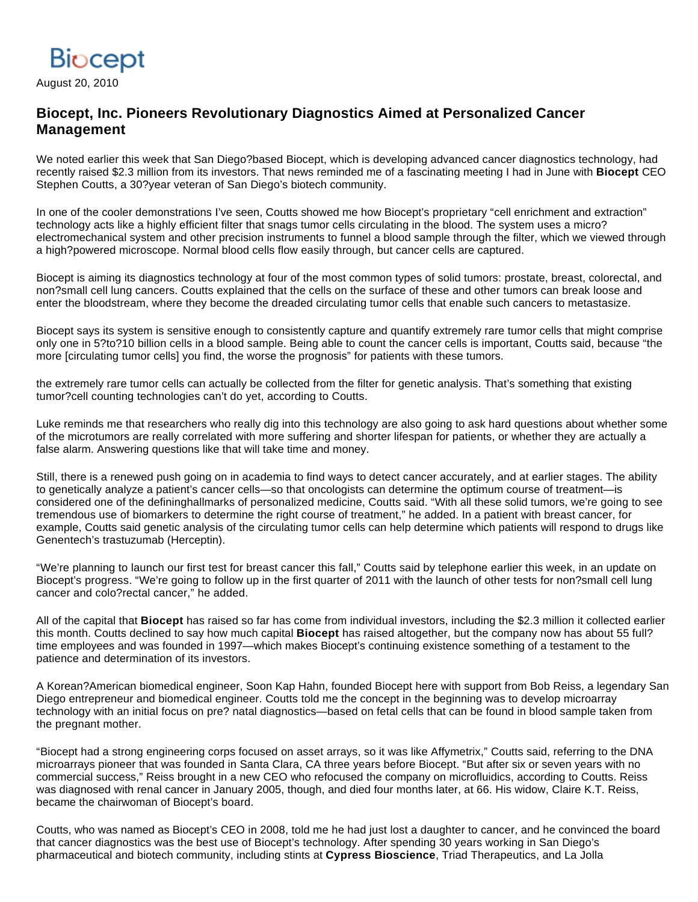

August 20, 2010

## **Biocept, Inc. Pioneers Revolutionary Diagnostics Aimed at Personalized Cancer Management**

We noted earlier this week that San Diego?based Biocept, which is developing advanced cancer diagnostics technology, had recently raised \$2.3 million from its investors. That news reminded me of a fascinating meeting I had in June with **Biocept** CEO Stephen Coutts, a 30?year veteran of San Diego's biotech community.

In one of the cooler demonstrations I've seen, Coutts showed me how Biocept's proprietary "cell enrichment and extraction" technology acts like a highly efficient filter that snags tumor cells circulating in the blood. The system uses a micro? electromechanical system and other precision instruments to funnel a blood sample through the filter, which we viewed through a high?powered microscope. Normal blood cells flow easily through, but cancer cells are captured.

Biocept is aiming its diagnostics technology at four of the most common types of solid tumors: prostate, breast, colorectal, and non?small cell lung cancers. Coutts explained that the cells on the surface of these and other tumors can break loose and enter the bloodstream, where they become the dreaded circulating tumor cells that enable such cancers to metastasize.

Biocept says its system is sensitive enough to consistently capture and quantify extremely rare tumor cells that might comprise only one in 5?to?10 billion cells in a blood sample. Being able to count the cancer cells is important, Coutts said, because "the more [circulating tumor cells] you find, the worse the prognosis" for patients with these tumors.

the extremely rare tumor cells can actually be collected from the filter for genetic analysis. That's something that existing tumor?cell counting technologies can't do yet, according to Coutts.

Luke reminds me that researchers who really dig into this technology are also going to ask hard questions about whether some of the microtumors are really correlated with more suffering and shorter lifespan for patients, or whether they are actually a false alarm. Answering questions like that will take time and money.

Still, there is a renewed push going on in academia to find ways to detect cancer accurately, and at earlier stages. The ability to genetically analyze a patient's cancer cells—so that oncologists can determine the optimum course of treatment—is considered one of the defininghallmarks of personalized medicine, Coutts said. "With all these solid tumors, we're going to see tremendous use of biomarkers to determine the right course of treatment," he added. In a patient with breast cancer, for example, Coutts said genetic analysis of the circulating tumor cells can help determine which patients will respond to drugs like Genentech's trastuzumab (Herceptin).

"We're planning to launch our first test for breast cancer this fall," Coutts said by telephone earlier this week, in an update on Biocept's progress. "We're going to follow up in the first quarter of 2011 with the launch of other tests for non?small cell lung cancer and colo?rectal cancer," he added.

All of the capital that **Biocept** has raised so far has come from individual investors, including the \$2.3 million it collected earlier this month. Coutts declined to say how much capital **Biocept** has raised altogether, but the company now has about 55 full? time employees and was founded in 1997—which makes Biocept's continuing existence something of a testament to the patience and determination of its investors.

A Korean?American biomedical engineer, Soon Kap Hahn, founded Biocept here with support from Bob Reiss, a legendary San Diego entrepreneur and biomedical engineer. Coutts told me the concept in the beginning was to develop microarray technology with an initial focus on pre? natal diagnostics—based on fetal cells that can be found in blood sample taken from the pregnant mother.

"Biocept had a strong engineering corps focused on asset arrays, so it was like Affymetrix," Coutts said, referring to the DNA microarrays pioneer that was founded in Santa Clara, CA three years before Biocept. "But after six or seven years with no commercial success," Reiss brought in a new CEO who refocused the company on microfluidics, according to Coutts. Reiss was diagnosed with renal cancer in January 2005, though, and died four months later, at 66. His widow, Claire K.T. Reiss, became the chairwoman of Biocept's board.

Coutts, who was named as Biocept's CEO in 2008, told me he had just lost a daughter to cancer, and he convinced the board that cancer diagnostics was the best use of Biocept's technology. After spending 30 years working in San Diego's pharmaceutical and biotech community, including stints at **Cypress Bioscience**, Triad Therapeutics, and La Jolla